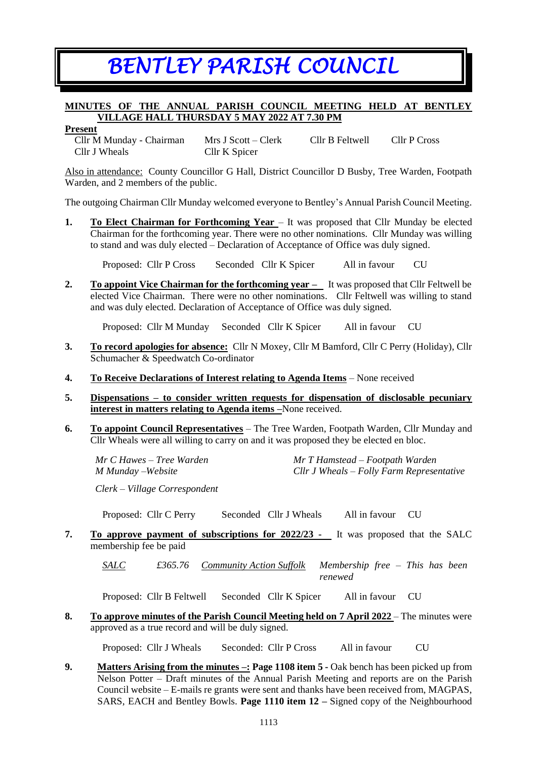# *BENTLEY PARISH COUNCIL*

# **MINUTES OF THE ANNUAL PARISH COUNCIL MEETING HELD AT BENTLEY VILLAGE HALL THURSDAY 5 MAY 2022 AT 7.30 PM**

**Present**

Cllr M Munday - Chairman Mrs J Scott – Clerk Cllr B Feltwell Cllr P Cross Cllr J Wheals Cllr K Spicer

Also in attendance: County Councillor G Hall, District Councillor D Busby, Tree Warden, Footpath Warden, and 2 members of the public.

The outgoing Chairman Cllr Munday welcomed everyone to Bentley's Annual Parish Council Meeting.

**1. To Elect Chairman for Forthcoming Year** – It was proposed that Cllr Munday be elected Chairman for the forthcoming year. There were no other nominations. Cllr Munday was willing to stand and was duly elected – Declaration of Acceptance of Office was duly signed.

Proposed: Cllr P Cross Seconded Cllr K Spicer All in favour CU

**2. To appoint Vice Chairman for the forthcoming year –** It was proposed that Cllr Feltwell be elected Vice Chairman. There were no other nominations. Cllr Feltwell was willing to stand and was duly elected. Declaration of Acceptance of Office was duly signed.

Proposed: Cllr M Munday Seconded Cllr K Spicer All in favour CU

- **3. To record apologies for absence:** Cllr N Moxey, Cllr M Bamford, Cllr C Perry (Holiday), Cllr Schumacher & Speedwatch Co-ordinator
- **4. To Receive Declarations of Interest relating to Agenda Items** None received
- **5. Dispensations – to consider written requests for dispensation of disclosable pecuniary interest in matters relating to Agenda items –**None received.
- **6. To appoint Council Representatives** The Tree Warden, Footpath Warden, Cllr Munday and Cllr Wheals were all willing to carry on and it was proposed they be elected en bloc.

*Mr C Hawes – Tree Warden Mr T Hamstead – Footpath Warden M Munday –Website Cllr J Wheals – Folly Farm Representative*

*Clerk – Village Correspondent*

Proposed: Cllr C Perry Seconded Cllr J Wheals All in favour CU

**7. To approve payment of subscriptions for 2022/23 -** It was proposed that the SALC membership fee be paid

*SALC £365.76 Community Action Suffolk Membership free – This has been renewed*

Proposed: Cllr B Feltwell Seconded Cllr K Spicer All in favour CU

**8. To approve minutes of the Parish Council Meeting held on 7 April 2022** – The minutes were approved as a true record and will be duly signed.

Proposed: Cllr J Wheals Seconded: Cllr P Cross All in favour CU

**9. Matters Arising from the minutes –: Page 1108 item 5 -** Oak bench has been picked up from Nelson Potter – Draft minutes of the Annual Parish Meeting and reports are on the Parish Council website – E-mails re grants were sent and thanks have been received from, MAGPAS, SARS, EACH and Bentley Bowls. **Page 1110 item 12 –** Signed copy of the Neighbourhood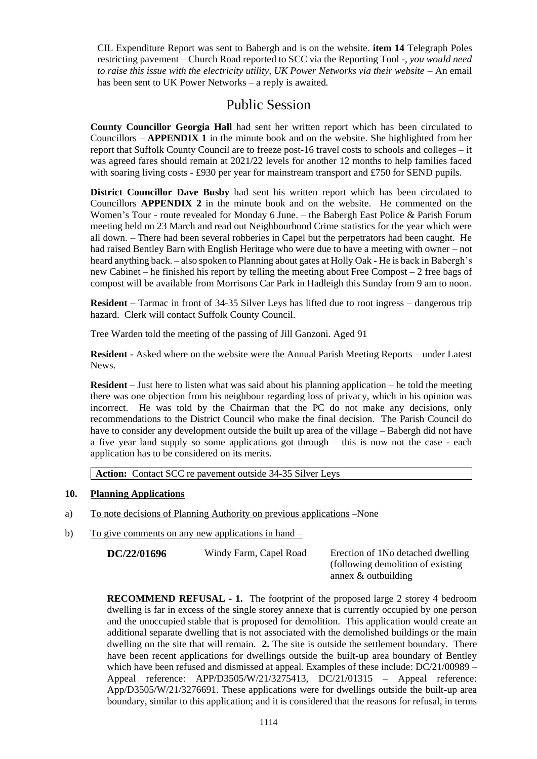CIL Expenditure Report was sent to Babergh and is on the website. **item 14** Telegraph Poles restricting pavement – Church Road reported to SCC via the Reporting Tool -*, you would need to raise this issue with the electricity utility, UK Power Networks via their website –* An email has been sent to UK Power Networks – a reply is awaited.

# Public Session

**County Councillor Georgia Hall** had sent her written report which has been circulated to Councillors – **APPENDIX 1** in the minute book and on the website. She highlighted from her report that Suffolk County Council are to freeze post-16 travel costs to schools and colleges – it was agreed fares should remain at 2021/22 levels for another 12 months to help families faced with soaring living costs - £930 per year for mainstream transport and £750 for SEND pupils.

**District Councillor Dave Busby** had sent his written report which has been circulated to Councillors **APPENDIX 2** in the minute book and on the website. He commented on the Women's Tour - route revealed for Monday 6 June. – the Babergh East Police & Parish Forum meeting held on 23 March and read out Neighbourhood Crime statistics for the year which were all down. – There had been several robberies in Capel but the perpetrators had been caught. He had raised Bentley Barn with English Heritage who were due to have a meeting with owner – not heard anything back. – also spoken to Planning about gates at Holly Oak - He is back in Babergh's new Cabinet – he finished his report by telling the meeting about Free Compost – 2 free bags of compost will be available from Morrisons Car Park in Hadleigh this Sunday from 9 am to noon.

**Resident –** Tarmac in front of 34-35 Silver Leys has lifted due to root ingress – dangerous trip hazard. Clerk will contact Suffolk County Council.

Tree Warden told the meeting of the passing of Jill Ganzoni. Aged 91

**Resident -** Asked where on the website were the Annual Parish Meeting Reports – under Latest News.

**Resident –** Just here to listen what was said about his planning application – he told the meeting there was one objection from his neighbour regarding loss of privacy, which in his opinion was incorrect. He was told by the Chairman that the PC do not make any decisions, only recommendations to the District Council who make the final decision. The Parish Council do have to consider any development outside the built up area of the village – Babergh did not have a five year land supply so some applications got through – this is now not the case - each application has to be considered on its merits.

**Action:** Contact SCC re pavement outside 34-35 Silver Leys

# **10. Planning Applications**

- a) To note decisions of Planning Authority on previous applications –None
- b) To give comments on any new applications in hand –

**DC/22/01696** Windy Farm, Capel Road Erection of 1No detached dwelling

(following demolition of existing annex & outbuilding

**RECOMMEND REFUSAL - 1.** The footprint of the proposed large 2 storey 4 bedroom dwelling is far in excess of the single storey annexe that is currently occupied by one person and the unoccupied stable that is proposed for demolition. This application would create an additional separate dwelling that is not associated with the demolished buildings or the main dwelling on the site that will remain. **2.** The site is outside the settlement boundary. There have been recent applications for dwellings outside the built-up area boundary of Bentley which have been refused and dismissed at appeal. Examples of these include:  $DC/21/00989 -$ Appeal reference: APP/D3505/W/21/3275413, DC/21/01315 – Appeal reference: App/D3505/W/21/3276691. These applications were for dwellings outside the built-up area boundary, similar to this application; and it is considered that the reasons for refusal, in terms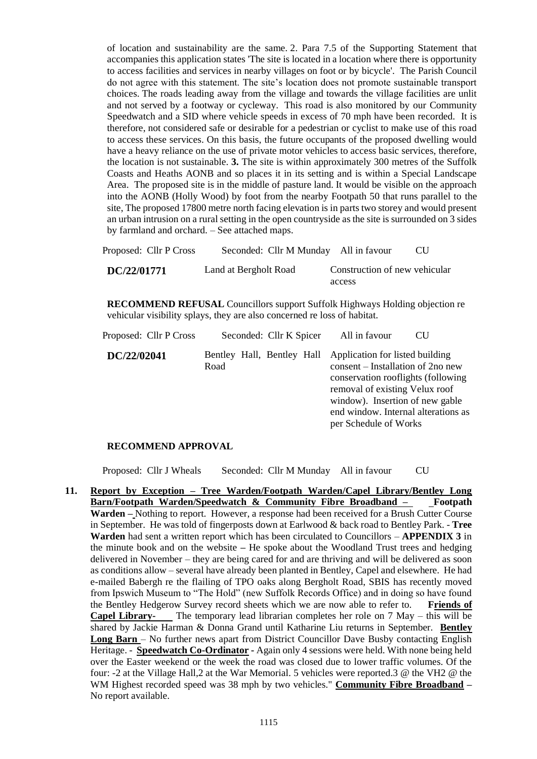of location and sustainability are the same. 2. Para 7.5 of the Supporting Statement that accompanies this application states 'The site is located in a location where there is opportunity to access facilities and services in nearby villages on foot or by bicycle'. The Parish Council do not agree with this statement. The site's location does not promote sustainable transport choices. The roads leading away from the village and towards the village facilities are unlit and not served by a footway or cycleway. This road is also monitored by our Community Speedwatch and a SID where vehicle speeds in excess of 70 mph have been recorded. It is therefore, not considered safe or desirable for a pedestrian or cyclist to make use of this road to access these services. On this basis, the future occupants of the proposed dwelling would have a heavy reliance on the use of private motor vehicles to access basic services, therefore, the location is not sustainable. **3.** The site is within approximately 300 metres of the Suffolk Coasts and Heaths AONB and so places it in its setting and is within a Special Landscape Area. The proposed site is in the middle of pasture land. It would be visible on the approach into the AONB (Holly Wood) by foot from the nearby Footpath 50 that runs parallel to the site, The proposed 17800 metre north facing elevation is in parts two storey and would present an urban intrusion on a rural setting in the open countryside as the site is surrounded on 3 sides by farmland and orchard. – See attached maps.

| Proposed: Cllr P Cross | Seconded: Cllr M Munday All in favour |                               | CU. |
|------------------------|---------------------------------------|-------------------------------|-----|
| DC/22/01771            | Land at Bergholt Road                 | Construction of new vehicular |     |
|                        |                                       | access                        |     |

**RECOMMEND REFUSAL** Councillors support Suffolk Highways Holding objection re vehicular visibility splays, they are also concerned re loss of habitat.

| Proposed: Cllr P Cross |      | Seconded: Cllr K Spicer | All in favour                                                                                                                                                                                                                                                              | <b>CU</b> |
|------------------------|------|-------------------------|----------------------------------------------------------------------------------------------------------------------------------------------------------------------------------------------------------------------------------------------------------------------------|-----------|
| DC/22/02041            | Road |                         | Bentley Hall, Bentley Hall Application for listed building<br>consent – Installation of 2no new<br>conservation rooflights (following<br>removal of existing Velux roof<br>window). Insertion of new gable<br>end window. Internal alterations as<br>per Schedule of Works |           |

#### **RECOMMEND APPROVAL**

Proposed: Cllr J Wheals Seconded: Cllr M Munday All in favour CU

**11. Report by Exception – Tree Warden/Footpath Warden/Capel Library/Bentley Long Barn/Footpath Warden/Speedwatch & Community Fibre Broadband – Footpath Warden –** Nothing to report. However, a response had been received for a Brush Cutter Course in September. He was told of fingerposts down at Earlwood & back road to Bentley Park. - **Tree Warden** had sent a written report which has been circulated to Councillors – **APPENDIX 3** in the minute book and on the website **–** He spoke about the Woodland Trust trees and hedging delivered in November – they are being cared for and are thriving and will be delivered as soon as conditions allow – several have already been planted in Bentley, Capel and elsewhere. He had e-mailed Babergh re the flailing of TPO oaks along Bergholt Road, SBIS has recently moved from Ipswich Museum to "The Hold" (new Suffolk Records Office) and in doing so have found the Bentley Hedgerow Survey record sheets which we are now able to refer to. **Friends of Capel Library-** The temporary lead librarian completes her role on 7 May – this will be shared by Jackie Harman & Donna Grand until Katharine Liu returns in September. **Bentley Long Barn** – No further news apart from District Councillor Dave Busby contacting English Heritage. - **Speedwatch Co-Ordinator -** Again only 4 sessions were held. With none being held over the Easter weekend or the week the road was closed due to lower traffic volumes. Of the four: -2 at the Village Hall,2 at the War Memorial. 5 vehicles were reported.3 @ the VH2 @ the WM Highest recorded speed was 38 mph by two vehicles." **Community Fibre Broadband –** No report available.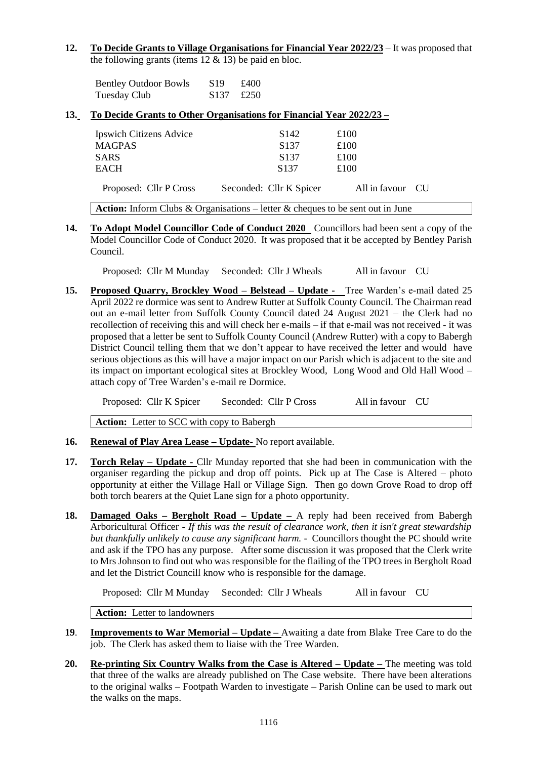#### **12. To Decide Grants to Village Organisations for Financial Year 2022/23** – It was proposed that the following grants (items  $12 \& 13$ ) be paid en bloc.

| <b>Bentley Outdoor Bowls</b> | S <sub>19</sub>   | £400 |
|------------------------------|-------------------|------|
| Tuesday Club                 | $$137 \quad £250$ |      |

# **13. To Decide Grants to Other Organisations for Financial Year 2022/23 –**

| <b>Ipswich Citizens Advice</b>                                                        | S <sub>142</sub>        | £100             |  |  |
|---------------------------------------------------------------------------------------|-------------------------|------------------|--|--|
| <b>MAGPAS</b>                                                                         | S <sub>137</sub>        | £100             |  |  |
| <b>SARS</b>                                                                           | S <sub>137</sub>        | £100             |  |  |
| EACH                                                                                  | S <sub>137</sub>        | £100             |  |  |
| Proposed: Cllr P Cross                                                                | Seconded: Cllr K Spicer | All in favour CU |  |  |
| <b>Action:</b> Inform Clubs & Organisations – letter & cheques to be sent out in June |                         |                  |  |  |

**14. To Adopt Model Councillor Code of Conduct 2020** Councillors had been sent a copy of the Model Councillor Code of Conduct 2020. It was proposed that it be accepted by Bentley Parish Council.

Proposed: Cllr M Munday Seconded: Cllr J Wheals All in favour CU

**15. Proposed Quarry, Brockley Wood – Belstead – Update -** Tree Warden's e-mail dated 25 April 2022 re dormice was sent to Andrew Rutter at Suffolk County Council. The Chairman read out an e-mail letter from Suffolk County Council dated 24 August 2021 – the Clerk had no recollection of receiving this and will check her e-mails – if that e-mail was not received - it was proposed that a letter be sent to Suffolk County Council (Andrew Rutter) with a copy to Babergh District Council telling them that we don't appear to have received the letter and would have serious objections as this will have a major impact on our Parish which is adjacent to the site and its impact on important ecological sites at Brockley Wood, Long Wood and Old Hall Wood – attach copy of Tree Warden's e-mail re Dormice.

Proposed: Cllr K Spicer Seconded: Cllr P Cross All in favour CU

**Action:** Letter to SCC with copy to Babergh

- **16. Renewal of Play Area Lease – Update-** No report available.
- **17. Torch Relay – Update -** Cllr Munday reported that she had been in communication with the organiser regarding the pickup and drop off points. Pick up at The Case is Altered – photo opportunity at either the Village Hall or Village Sign. Then go down Grove Road to drop off both torch bearers at the Quiet Lane sign for a photo opportunity.
- **18. Damaged Oaks – Bergholt Road – Update –** A reply had been received from Babergh Arboricultural Officer - *If this was the result of clearance work, then it isn't great stewardship but thankfully unlikely to cause any significant harm. -* Councillors thought the PC should write and ask if the TPO has any purpose. After some discussion it was proposed that the Clerk write to Mrs Johnson to find out who was responsible for the flailing of the TPO trees in Bergholt Road and let the District Councill know who is responsible for the damage.

Proposed: Cllr M Munday Seconded: Cllr J Wheals All in favour CU

**Action:** Letter to landowners

- **19**. **Improvements to War Memorial – Update –** Awaiting a date from Blake Tree Care to do the job. The Clerk has asked them to liaise with the Tree Warden.
- **20. Re-printing Six Country Walks from the Case is Altered – Update –** The meeting was told that three of the walks are already published on The Case website. There have been alterations to the original walks – Footpath Warden to investigate – Parish Online can be used to mark out the walks on the maps.